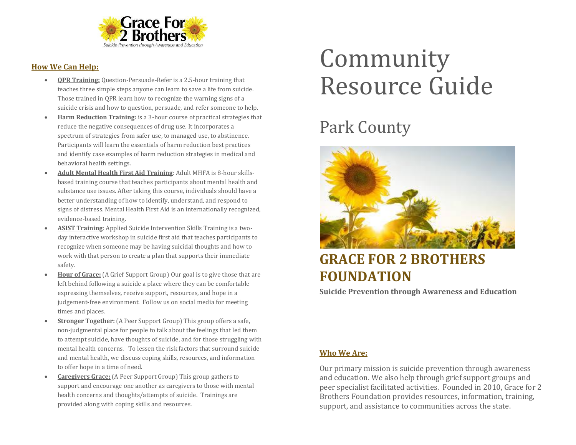

### **How We Can Help:**

- **QPR Training:** Question-Persuade-Refer is a 2.5-hour training that teaches three simple steps anyone can learn to save a life from suicide. Those trained in QPR learn how to recognize the warning signs of a suicide crisis and how to question, persuade, and refer someone to help.
- **Harm Reduction Training:** is a 3-hour course of practical strategies that reduce the negative consequences of drug use. It incorporates a spectrum of strategies from safer use, to managed use, to abstinence. Participants will learn the essentials of harm reduction best practices and identify case examples of harm reduction strategies in medical and behavioral health settings.
- **Adult Mental Health First Aid Training**: Adult MHFA is 8-hour skillsbased training course that teaches participants about mental health and substance use issues. After taking this course, individuals should have a better understanding of how to identify, understand, and respond to signs of distress. Mental Health First Aid is an internationally recognized, evidence-based training.
- **ASIST Training**: Applied Suicide Intervention Skills Training is a twoday interactive workshop in suicide first aid that teaches participants to recognize when someone may be having suicidal thoughts and how to work with that person to create a plan that supports their immediate safety.
- **Hour of Grace:** (A Grief Support Group) Our goal is to give those that are left behind following a suicide a place where they can be comfortable expressing themselves, receive support, resources, and hope in a judgement-free environment. Follow us on social media for meeting times and places.
- **Stronger Together:** (A Peer Support Group) This group offers a safe, non-judgmental place for people to talk about the feelings that led them to attempt suicide, have thoughts of suicide, and for those struggling with mental health concerns. To lessen the risk factors that surround suicide and mental health, we discuss coping skills, resources, and information to offer hope in a time of need.
- **Caregivers Grace:** (A Peer Support Group) This group gathers to support and encourage one another as caregivers to those with mental health concerns and thoughts/attempts of suicide. Trainings are provided along with coping skills and resources.

# Community Resource Guide

## Park County



### **GRACE FOR 2 BROTHERS FOUNDATION**

**Suicide Prevention through Awareness and Education**

### **Who We Are:**

Our primary mission is suicide prevention through awareness and education. We also help through grief support groups and peer specialist facilitated activities. Founded in 2010, Grace for 2 Brothers Foundation provides resources, information, training, support, and assistance to communities across the state.